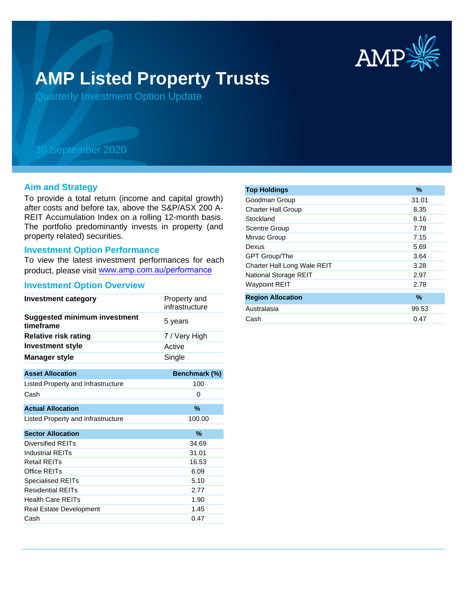

# **AMP Listed Property Trusts**

Quarterly Investment Option Update

## 30 September 2020

#### **Aim and Strategy**

To provide a total return (income and capital growth) after costs and before tax, above the S&P/ASX 200 A-REIT Accumulation Index on a rolling 12-month basis. The portfolio predominantly invests in property (and property related) securities.

#### **Investment Option Performance**

To view the latest investment performances for each product, please visit www.amp.com.au/performance

#### **Investment Option Overview**

| <b>Investment category</b>                       | Property and<br>infrastructure |  |
|--------------------------------------------------|--------------------------------|--|
| <b>Suggested minimum investment</b><br>timeframe | 5 years                        |  |
| <b>Relative risk rating</b>                      | 7 / Very High                  |  |
| <b>Investment style</b>                          | Active                         |  |
| <b>Manager style</b>                             | Single                         |  |
| <b>Asset Allocation</b>                          | Benchmark (%)                  |  |
|                                                  |                                |  |
| Listed Property and Infrastructure               | 100                            |  |
| Cash                                             | 0                              |  |
| <b>Actual Allocation</b>                         | $\%$                           |  |
| Listed Property and Infrastructure               | 100.00                         |  |
| <b>Sector Allocation</b>                         | %                              |  |
| Diversified REITs                                | 34.69                          |  |
| Industrial REITs                                 | 31.01                          |  |
| Retail REITs                                     | 16.53                          |  |
| Office REITs                                     | 6.09                           |  |
| <b>Specialised REITs</b>                         | 5.10                           |  |
| <b>Residential REITs</b>                         | 2.77                           |  |
| <b>Health Care REITs</b>                         | 1.90                           |  |
| <b>Real Estate Development</b>                   | 1.45                           |  |
| Cash                                             | 0.47                           |  |

| <b>Top Holdings</b>         | $\%$  |
|-----------------------------|-------|
| Goodman Group               | 31.01 |
| <b>Charter Hall Group</b>   | 8.35  |
| Stockland                   | 8.16  |
| <b>Scentre Group</b>        | 7.78  |
| Mirvac Group                | 7.15  |
| Dexus                       | 5.69  |
| GPT Group/The               | 3.64  |
| Charter Hall Long Wale REIT | 3.28  |
| National Storage REIT       | 2.97  |
| <b>Waypoint REIT</b>        | 2.78  |
| <b>Region Allocation</b>    | $\%$  |
| Australasia                 | 99.53 |
| Cash                        | 0.47  |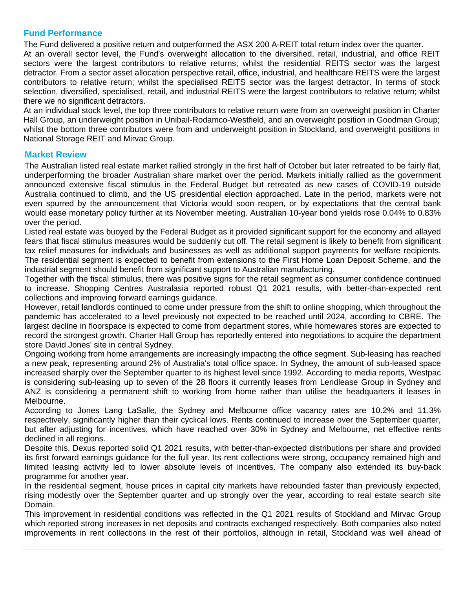### **Fund Performance**

The Fund delivered a positive return and outperformed the ASX 200 A-REIT total return index over the quarter.

At an overall sector level, the Fund's overweight allocation to the diversified, retail, industrial, and office REIT sectors were the largest contributors to relative returns; whilst the residential REITS sector was the largest detractor. From a sector asset allocation perspective retail, office, industrial, and healthcare REITS were the largest contributors to relative return; whilst the specialised REITS sector was the largest detractor. In terms of stock selection, diversified, specialised, retail, and industrial REITS were the largest contributors to relative return; whilst there we no significant detractors.

At an individual stock level, the top three contributors to relative return were from an overweight position in Charter Hall Group, an underweight position in Unibail-Rodamco-Westfield, and an overweight position in Goodman Group; whilst the bottom three contributors were from and underweight position in Stockland, and overweight positions in National Storage REIT and Mirvac Group.

#### **Market Review**

The Australian listed real estate market rallied strongly in the first half of October but later retreated to be fairly flat, underperforming the broader Australian share market over the period. Markets initially rallied as the government announced extensive fiscal stimulus in the Federal Budget but retreated as new cases of COVID-19 outside Australia continued to climb, and the US presidential election approached. Late in the period, markets were not even spurred by the announcement that Victoria would soon reopen, or by expectations that the central bank would ease monetary policy further at its November meeting. Australian 10-year bond yields rose 0.04% to 0.83% over the period.

Listed real estate was buoyed by the Federal Budget as it provided significant support for the economy and allayed fears that fiscal stimulus measures would be suddenly cut off. The retail segment is likely to benefit from significant tax relief measures for individuals and businesses as well as additional support payments for welfare recipients. The residential segment is expected to benefit from extensions to the First Home Loan Deposit Scheme, and the industrial segment should benefit from significant support to Australian manufacturing.

Together with the fiscal stimulus, there was positive signs for the retail segment as consumer confidence continued to increase. Shopping Centres Australasia reported robust Q1 2021 results, with better-than-expected rent collections and improving forward earnings guidance.

However, retail landlords continued to come under pressure from the shift to online shopping, which throughout the pandemic has accelerated to a level previously not expected to be reached until 2024, according to CBRE. The largest decline in floorspace is expected to come from department stores, while homewares stores are expected to record the strongest growth. Charter Hall Group has reportedly entered into negotiations to acquire the department store David Jones' site in central Sydney.

Ongoing working from home arrangements are increasingly impacting the office segment. Sub-leasing has reached a new peak, representing around 2% of Australia's total office space. In Sydney, the amount of sub-leased space increased sharply over the September quarter to its highest level since 1992. According to media reports, Westpac is considering sub-leasing up to seven of the 28 floors it currently leases from Lendlease Group in Sydney and ANZ is considering a permanent shift to working from home rather than utilise the headquarters it leases in Melbourne.

According to Jones Lang LaSalle, the Sydney and Melbourne office vacancy rates are 10.2% and 11.3% respectively, significantly higher than their cyclical lows. Rents continued to increase over the September quarter, but after adjusting for incentives, which have reached over 30% in Sydney and Melbourne, net effective rents declined in all regions.

Despite this, Dexus reported solid Q1 2021 results, with better-than-expected distributions per share and provided its first forward earnings guidance for the full year. Its rent collections were strong, occupancy remained high and limited leasing activity led to lower absolute levels of incentives. The company also extended its buy-back programme for another year.

In the residential segment, house prices in capital city markets have rebounded faster than previously expected, rising modestly over the September quarter and up strongly over the year, according to real estate search site Domain.

This improvement in residential conditions was reflected in the Q1 2021 results of Stockland and Mirvac Group which reported strong increases in net deposits and contracts exchanged respectively. Both companies also noted improvements in rent collections in the rest of their portfolios, although in retail, Stockland was well ahead of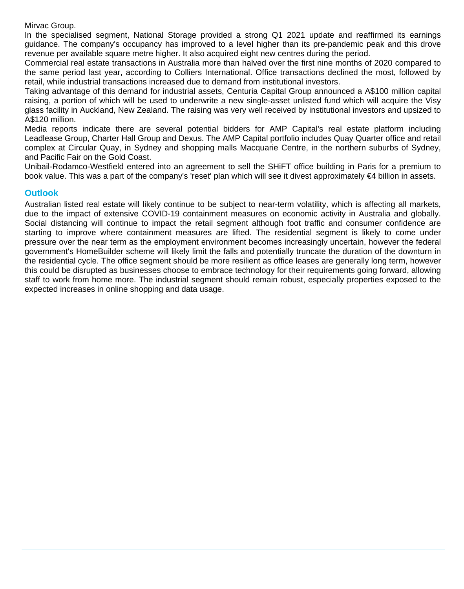Mirvac Group.

In the specialised segment, National Storage provided a strong Q1 2021 update and reaffirmed its earnings guidance. The company's occupancy has improved to a level higher than its pre-pandemic peak and this drove revenue per available square metre higher. It also acquired eight new centres during the period.

Commercial real estate transactions in Australia more than halved over the first nine months of 2020 compared to the same period last year, according to Colliers International. Office transactions declined the most, followed by retail, while industrial transactions increased due to demand from institutional investors.

Taking advantage of this demand for industrial assets, Centuria Capital Group announced a A\$100 million capital raising, a portion of which will be used to underwrite a new single-asset unlisted fund which will acquire the Visy glass facility in Auckland, New Zealand. The raising was very well received by institutional investors and upsized to A\$120 million.

Media reports indicate there are several potential bidders for AMP Capital's real estate platform including Leadlease Group, Charter Hall Group and Dexus. The AMP Capital portfolio includes Quay Quarter office and retail complex at Circular Quay, in Sydney and shopping malls Macquarie Centre, in the northern suburbs of Sydney, and Pacific Fair on the Gold Coast.

Unibail-Rodamco-Westfield entered into an agreement to sell the SHiFT office building in Paris for a premium to book value. This was a part of the company's 'reset' plan which will see it divest approximately €4 billion in assets.

#### **Outlook**

Australian listed real estate will likely continue to be subject to near-term volatility, which is affecting all markets, due to the impact of extensive COVID-19 containment measures on economic activity in Australia and globally. Social distancing will continue to impact the retail segment although foot traffic and consumer confidence are starting to improve where containment measures are lifted. The residential segment is likely to come under pressure over the near term as the employment environment becomes increasingly uncertain, however the federal government's HomeBuilder scheme will likely limit the falls and potentially truncate the duration of the downturn in the residential cycle. The office segment should be more resilient as office leases are generally long term, however this could be disrupted as businesses choose to embrace technology for their requirements going forward, allowing staff to work from home more. The industrial segment should remain robust, especially properties exposed to the expected increases in online shopping and data usage.